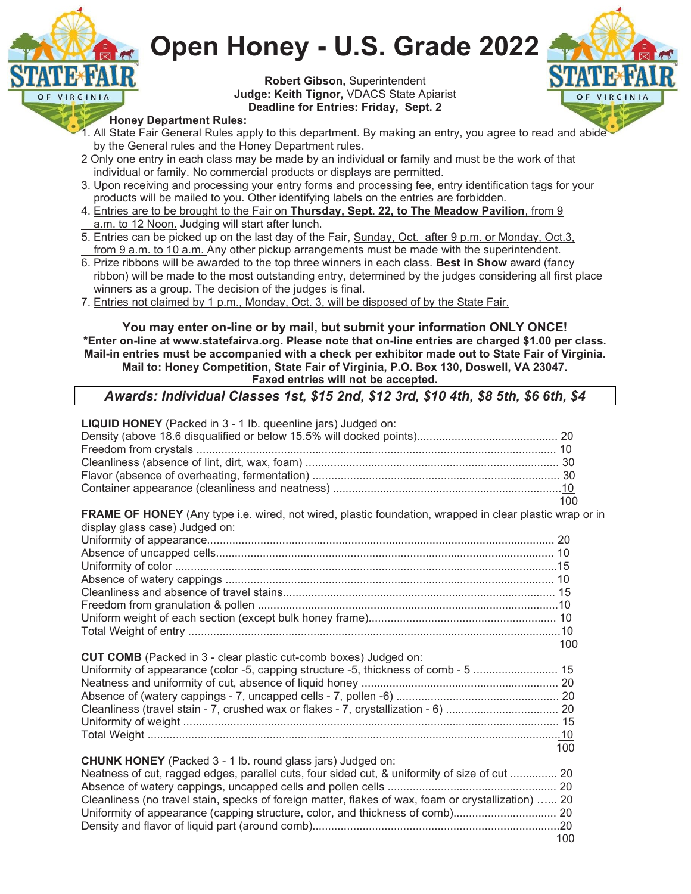

Robert Gibson, Superintendent Judge: Keith Tignor, VDACS State Apiarist Deadline for Entries: Friday, Sept. 2



### Honey Department Rules:

VIRGINIA

O F

- 1. All State Fair General Rules apply to this department. By making an entry, you agree to read and abide by the General rules and the Honey Department rules.
- 2 Only one entry in each class may be made by an individual or family and must be the work of that individual or family. No commercial products or displays are permitted.
- 3. Upon receiving and processing your entry forms and processing fee, entry identification tags for your products will be mailed to you. Other identifying labels on the entries are forbidden.
- 4. Entries are to be brought to the Fair on Thursday, Sept. 22, to The Meadow Pavilion, from 9 a.m. to 12 Noon. Judging will start after lunch.
- 5. Entries can be picked up on the last day of the Fair, Sunday, Oct. after 9 p.m. or Monday, Oct.3, from 9 a.m. to 10 a.m. Any other pickup arrangements must be made with the superintendent.
- 6. Prize ribbons will be awarded to the top three winners in each class. Best in Show award (fancy ribbon) will be made to the most outstanding entry, determined by the judges considering all first place winners as a group. The decision of the judges is final.
- 7. Entries not claimed by 1 p.m., Monday, Oct. 3, will be disposed of by the State Fair.

You may enter on-line or by mail, but submit your information ONLY ONCE! \*Enter on-line at www.statefairva.org. Please note that on-line entries are charged \$1.00 per class. Mail-in entries must be accompanied with a check per exhibitor made out to State Fair of Virginia. Mail to: Honey Competition, State Fair of Virginia, P.O. Box 130, Doswell, VA 23047. Faxed entries will not be accepted.

# Awards: Individual Classes 1st, \$15 2nd, \$12 3rd, \$10 4th, \$8 5th, \$6 6th, \$4

| <b>LIQUID HONEY</b> (Packed in 3 - 1 lb. queenline jars) Judged on:<br>FRAME OF HONEY (Any type i.e. wired, not wired, plastic foundation, wrapped in clear plastic wrap or in | 100 |
|--------------------------------------------------------------------------------------------------------------------------------------------------------------------------------|-----|
| display glass case) Judged on:                                                                                                                                                 |     |
|                                                                                                                                                                                |     |
|                                                                                                                                                                                |     |
|                                                                                                                                                                                |     |
|                                                                                                                                                                                |     |
|                                                                                                                                                                                |     |
|                                                                                                                                                                                |     |
|                                                                                                                                                                                |     |
|                                                                                                                                                                                |     |
|                                                                                                                                                                                | 100 |
| <b>CUT COMB</b> (Packed in 3 - clear plastic cut-comb boxes) Judged on:                                                                                                        |     |
| Uniformity of appearance (color -5, capping structure -5, thickness of comb - 5  15                                                                                            |     |
|                                                                                                                                                                                |     |
|                                                                                                                                                                                |     |
|                                                                                                                                                                                |     |
|                                                                                                                                                                                |     |
|                                                                                                                                                                                |     |
|                                                                                                                                                                                | 100 |
| <b>CHUNK HONEY</b> (Packed 3 - 1 lb. round glass jars) Judged on:                                                                                                              |     |
| Neatness of cut, ragged edges, parallel cuts, four sided cut, & uniformity of size of cut  20                                                                                  |     |
|                                                                                                                                                                                |     |
| Cleanliness (no travel stain, specks of foreign matter, flakes of wax, foam or crystallization)  20                                                                            |     |
| Uniformity of appearance (capping structure, color, and thickness of comb) 20                                                                                                  |     |
|                                                                                                                                                                                | 100 |
|                                                                                                                                                                                |     |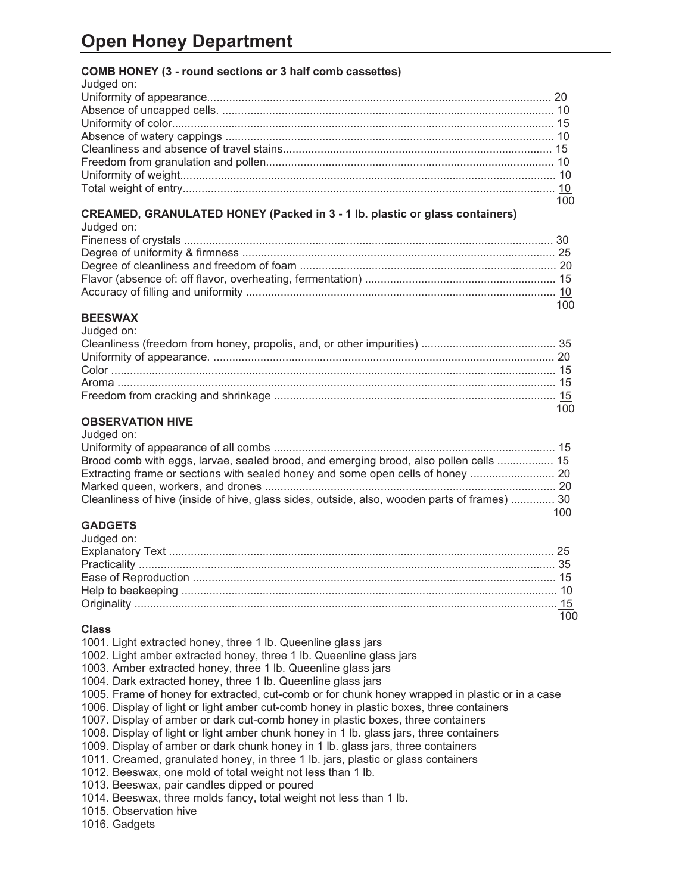## COMB HONEY (3 - round sections or 3 half comb cassettes)

| Judged on: |     |
|------------|-----|
|            |     |
|            |     |
|            |     |
|            |     |
|            |     |
|            |     |
|            |     |
|            |     |
|            | 100 |

#### CREAMED, GRANULATED HONEY (Packed in 3 - 1 lb. plastic or glass containers) Judged on:

| Juagea on: |     |
|------------|-----|
|            |     |
|            |     |
|            |     |
|            |     |
|            |     |
|            | 100 |

#### BEESWAX Judged on:

| Judged on: |  |
|------------|--|
|            |  |
|            |  |
|            |  |
|            |  |
|            |  |
|            |  |

### OBSERVATION HIVE Judged on:

| Juuytu UII.                                                                                  |      |
|----------------------------------------------------------------------------------------------|------|
|                                                                                              |      |
| Brood comb with eggs, larvae, sealed brood, and emerging brood, also pollen cells  15        |      |
| Extracting frame or sections with sealed honey and some open cells of honey                  |      |
|                                                                                              |      |
| Cleanliness of hive (inside of hive, glass sides, outside, also, wooden parts of frames)  30 |      |
|                                                                                              | 100. |

# **GADGETS**

## Class

1001. Light extracted honey, three 1 lb. Queenline glass jars 1002. Light amber extracted honey, three 1 lb. Queenline glass jars 1003. Amber extracted honey, three 1 lb. Queenline glass jars 1004. Dark extracted honey, three 1 lb. Queenline glass jars 1005. Frame of honey for extracted, cut-comb or for chunk honey wrapped in plastic or in a case 1006. Display of light or light amber cut-comb honey in plastic boxes, three containers 1007. Display of amber or dark cut-comb honey in plastic boxes, three containers 1008. Display of light or light amber chunk honey in 1 lb. glass jars, three containers 1009. Display of amber or dark chunk honey in 1 lb. glass jars, three containers 1011. Creamed, granulated honey, in three 1 lb. jars, plastic or glass containers 1012. Beeswax, one mold of total weight not less than 1 lb. 1013. Beeswax, pair candles dipped or poured 1014. Beeswax, three molds fancy, total weight not less than 1 lb. 1015. Observation hive

1016. Gadgets